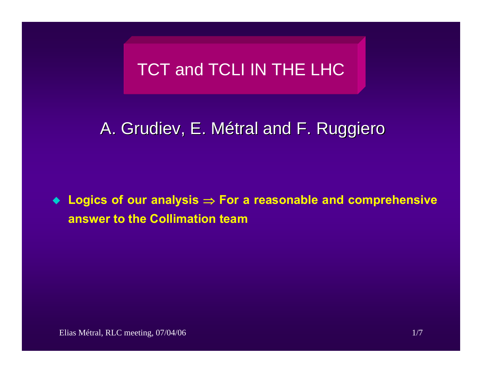# TCT and TCLI IN THE LHC

## A. Grudiev, E. Métral and F. Ruggiero

 **Logics of our analysis**  ⇒ **For a reasonable and comprehensive answer to the Collimation team**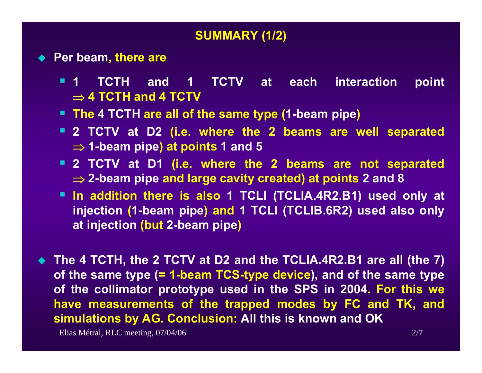#### **SUMMARY (1/2)**

- ◆ Per beam, there are
	- $\blacksquare$  1 **1 TCTH and 1 TCTV at each interaction point**  ⇒ **4 TCTH and 4 TCTV**
	- **The 4 TCTH are all of the same type (1-beam pipe)**
	- **2 TCTV at D2 (i.e. where the 2 beams are well separated**  ⇒ **1-beam pipe) at points 1 and 5**
	- **2 TCTV at D1 (i.e. where the 2 beams are not separated**  ⇒ **2-beam pipe and large cavity created) at points 2 and 8**
	- **In addition there is also 1 TCLI (TCLIA.4R2.B1) used only at injection (1-beam pipe) and 1 TCLI (TCLIB.6R2) used also only at injection (but 2-beam pipe)**
- ◆ The 4 TCTH, the 2 TCTV at D2 and the TCLIA.4R2.B1 are all (the 7) **of the same type (= 1-beam TCS-type device), and of the same type of the collimator prototype used in the SPS in 2004. For this we have measurements of the trapped modes by FC and TK, and simulations by AG. Conclusion: All this is known and OK**

Elias Métral, RLC meeting, 07/04/06 2/7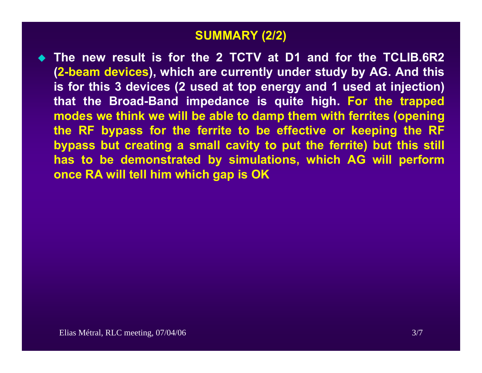#### **SUMMARY (2/2)**

 **The new result is for the 2 TCTV at D1 and for the TCLIB.6R2 (2-beam devices), which are currently under study by AG. And this is for this 3 devices (2 used at top energy and 1 used at injection) that the Broad-Band impedance is quite high. For the trapped modes we think we will be able to damp them with ferrites (opening the RF bypass for the ferrite to be effective or keeping the RF bypass but creating a small cavity to put the ferrite) but this still has to be demonstrated by simulations, which AG will perform once RA will tell him which gap is OK**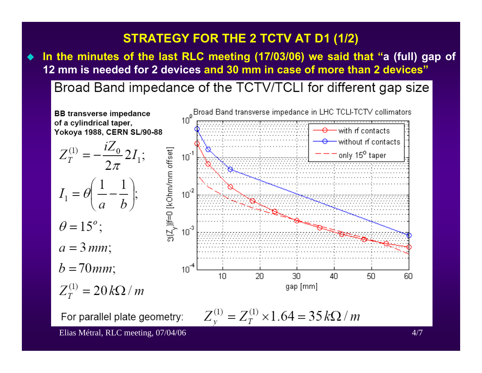## **STRATEGY FOR THE 2 TCTV AT D1 (1/2)**

 $\blacklozenge$  **In the minutes of the last RLC meeting (17/03/06) we said that "a (full) gap of 12 mm is needed for 2 devices and 30 mm in case of more than 2 devices"**

Broad Band impedance of the TCTV/TCLI for different gap size



For parallel plate geometry:

$$
Z_{\nu}^{(1)} = Z_T^{(1)} \times 1.64 = 35 k\Omega / m
$$

Elias Métral, RLC meeting, 07/04/06 4/7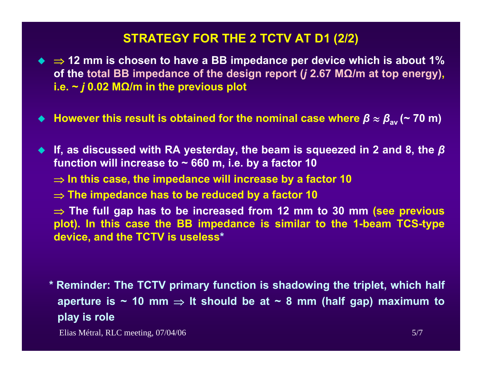#### **STRATEGY FOR THE 2 TCTV AT D1 (2/2)**

- ⇒ **12 mm is chosen to have a BB impedance per device which is about 1% of the total BB impedance of the design report (***j* **2.67 M Ω/m at top energy), i.e. ~**  *j* **0.02 M Ω/m in the previous plot**
- ♦ **However this result is obtained for the nominal case where**  *β* **ª** *β***av (~ 70 m)**
- **If, as discussed with RA yesterday, the beam is squeezed in 2 and 8, the**  *β* **function will increase to ~ 660 m, i.e. by a factor 10**
	- ⇒ **In this case, the impedance will increase by a factor 10**
	- ⇒ **The impedance has to be reduced by a factor 10**
	- ⇒ **The full gap has to be increased from 12 mm to 30 mm (see previous plot). In this case the BB impedance is similar to the 1-beam TCS-type device, and the TCTV is useless \***
	- **\* Reminder: The TCTV primary function is shadowing the triplet, which half aperture is ~ 10 mm**  ⇒ **It should be at ~ 8 mm (half gap) maximum to play is role**

Elias Métral, RLC meeting, 07/04/06 5/7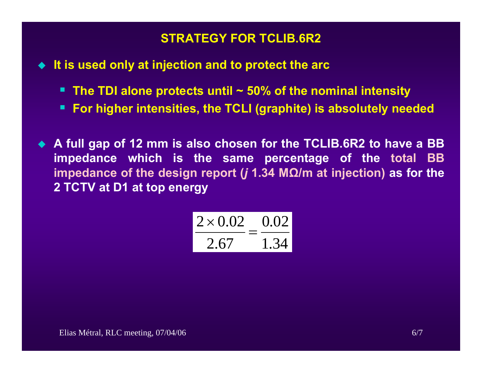### **STRATEGY FOR TCLIB.6R2**

**It is used only at injection and to protect the arc**

- **The TDI alone protects until ~ 50% of the nominal intensity**
- Г **For higher intensities, the TCLI (graphite) is absolutely needed**
- **A full gap of 12 mm is also chosen for the TCLIB.6R2 to have a BB impedance which is the same percentage of the total BB impedance of the design report (***j* **1.34 M Ω/m at injection) as for the 2 TCTV at D1 at top energy**

$$
\frac{2 \times 0.02}{2.67} = \frac{0.02}{1.34}
$$